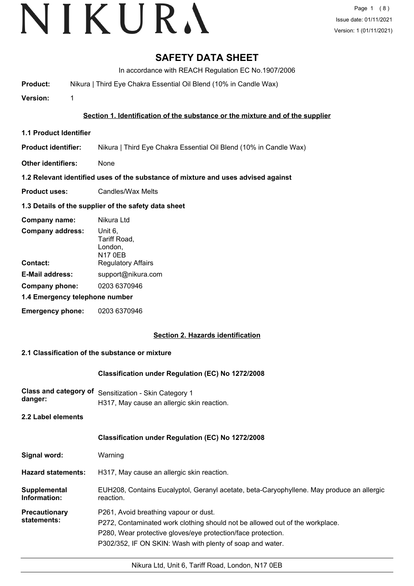# **SAFETY DATA SHEET**

In accordance with REACH Regulation EC No.1907/2006

**Product:** Nikura | Third Eye Chakra Essential Oil Blend (10% in Candle Wax)

**Version:** 1

#### **Section 1. Identification of the substance or the mixture and of the supplier**

- **1.1 Product Identifier**
- **Product identifier:** Nikura | Third Eye Chakra Essential Oil Blend (10% in Candle Wax)
- **Other identifiers:** None

#### **1.2 Relevant identified uses of the substance of mixture and uses advised against**

**Product uses:** Candles/Wax Melts

#### **1.3 Details of the supplier of the safety data sheet**

| Company name:                  | Nikura Ltd                                           |  |
|--------------------------------|------------------------------------------------------|--|
| <b>Company address:</b>        | Unit 6,<br>Tariff Road,<br>London,<br><b>N17 0EB</b> |  |
| Contact:                       | <b>Regulatory Affairs</b>                            |  |
| <b>E-Mail address:</b>         | support@nikura.com                                   |  |
| Company phone:                 | 0203 6370946                                         |  |
| 1.4 Emergency telephone number |                                                      |  |
| <b>Emergency phone:</b>        | 0203 6370946                                         |  |

#### **Section 2. Hazards identification**

#### **2.1 Classification of the substance or mixture**

#### **Classification under Regulation (EC) No 1272/2008**

**Class and category of** Sensitization - Skin Category 1 **danger:** H317, May cause an allergic skin reaction.

**2.2 Label elements**

#### **Classification under Regulation (EC) No 1272/2008**

| Signal word: | Warning |
|--------------|---------|
|--------------|---------|

**Hazard statements:** H317, May cause an allergic skin reaction.

EUH208, Contains Eucalyptol, Geranyl acetate, beta-Caryophyllene. May produce an allergic reaction. **Supplemental Information:**

**Precautionary statements:** P261, Avoid breathing vapour or dust.

P272, Contaminated work clothing should not be allowed out of the workplace.

P280, Wear protective gloves/eye protection/face protection.

P302/352, IF ON SKIN: Wash with plenty of soap and water.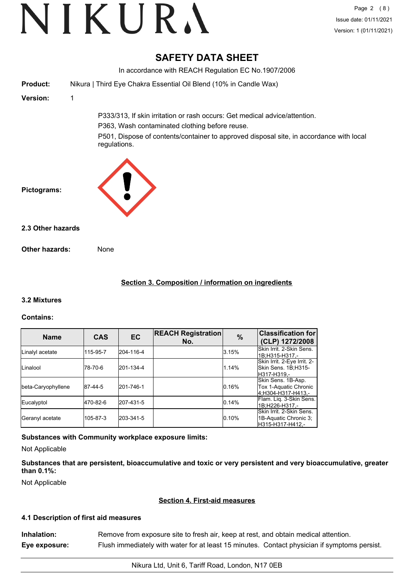# **SAFETY DATA SHEET**

In accordance with REACH Regulation EC No.1907/2006 **Product:** Nikura | Third Eye Chakra Essential Oil Blend (10% in Candle Wax) **Version:** 1 P333/313, If skin irritation or rash occurs: Get medical advice/attention. P363, Wash contaminated clothing before reuse. P501, Dispose of contents/container to approved disposal site, in accordance with local regulations. **Pictograms: Other hazards:** None **2.3 Other hazards**

# **Section 3. Composition / information on ingredients**

# **3.2 Mixtures**

# **Contains:**

| <b>Name</b>        | <b>CAS</b> | <b>EC</b> | <b>REACH Registration</b><br>No. | $\%$  | <b>Classification for</b><br>(CLP) 1272/2008                          |
|--------------------|------------|-----------|----------------------------------|-------|-----------------------------------------------------------------------|
| Linalyl acetate    | 115-95-7   | 204-116-4 |                                  | 3.15% | Skin Irrit, 2-Skin Sens.<br>1B;H315-H317,-                            |
| Linalool           | l78-70-6   | 201-134-4 |                                  | 1.14% | Skin Irrit. 2-Eye Irrit. 2-<br>Skin Sens. 1B;H315-<br>lH317-H319.-    |
| beta-Caryophyllene | 87-44-5    | 201-746-1 |                                  | 0.16% | Skin Sens. 1B-Asp.<br>Tox 1-Aquatic Chronic<br>4;H304-H317-H413,-     |
| Eucalyptol         | 470-82-6   | 207-431-5 |                                  | 0.14% | Flam. Lig. 3-Skin Sens.<br>1B:H226-H317.-                             |
| Geranyl acetate    | 105-87-3   | 203-341-5 |                                  | 0.10% | Skin Irrit, 2-Skin Sens.<br>1B-Aquatic Chronic 3;<br>H315-H317-H412.- |

# **Substances with Community workplace exposure limits:**

Not Applicable

**Substances that are persistent, bioaccumulative and toxic or very persistent and very bioaccumulative, greater than 0.1%:**

Not Applicable

#### **Section 4. First-aid measures**

# **4.1 Description of first aid measures**

| Inhalation:   | Remove from exposure site to fresh air, keep at rest, and obtain medical attention.          |
|---------------|----------------------------------------------------------------------------------------------|
| Eye exposure: | Flush immediately with water for at least 15 minutes. Contact physician if symptoms persist. |

Nikura Ltd, Unit 6, Tariff Road, London, N17 0EB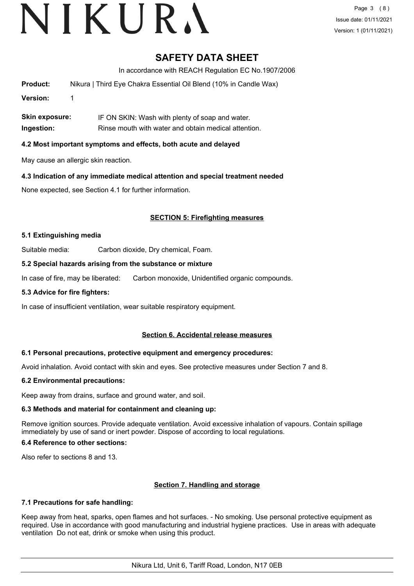Page 3 (8) Issue date: 01/11/2021 Version: 1 (01/11/2021)

# **SAFETY DATA SHEET**

In accordance with REACH Regulation EC No.1907/2006

**Product:** Nikura | Third Eye Chakra Essential Oil Blend (10% in Candle Wax)

**Version:** 1

**Skin exposure:** IF ON SKIN: Wash with plenty of soap and water. **Ingestion:** Rinse mouth with water and obtain medical attention.

### **4.2 Most important symptoms and effects, both acute and delayed**

May cause an allergic skin reaction.

#### **4.3 Indication of any immediate medical attention and special treatment needed**

None expected, see Section 4.1 for further information.

# **SECTION 5: Firefighting measures**

#### **5.1 Extinguishing media**

Suitable media: Carbon dioxide, Dry chemical, Foam.

#### **5.2 Special hazards arising from the substance or mixture**

In case of fire, may be liberated: Carbon monoxide, Unidentified organic compounds.

#### **5.3 Advice for fire fighters:**

In case of insufficient ventilation, wear suitable respiratory equipment.

#### **Section 6. Accidental release measures**

#### **6.1 Personal precautions, protective equipment and emergency procedures:**

Avoid inhalation. Avoid contact with skin and eyes. See protective measures under Section 7 and 8.

#### **6.2 Environmental precautions:**

Keep away from drains, surface and ground water, and soil.

#### **6.3 Methods and material for containment and cleaning up:**

Remove ignition sources. Provide adequate ventilation. Avoid excessive inhalation of vapours. Contain spillage immediately by use of sand or inert powder. Dispose of according to local regulations.

#### **6.4 Reference to other sections:**

Also refer to sections 8 and 13.

# **Section 7. Handling and storage**

#### **7.1 Precautions for safe handling:**

Keep away from heat, sparks, open flames and hot surfaces. - No smoking. Use personal protective equipment as required. Use in accordance with good manufacturing and industrial hygiene practices. Use in areas with adequate ventilation Do not eat, drink or smoke when using this product.

Nikura Ltd, Unit 6, Tariff Road, London, N17 0EB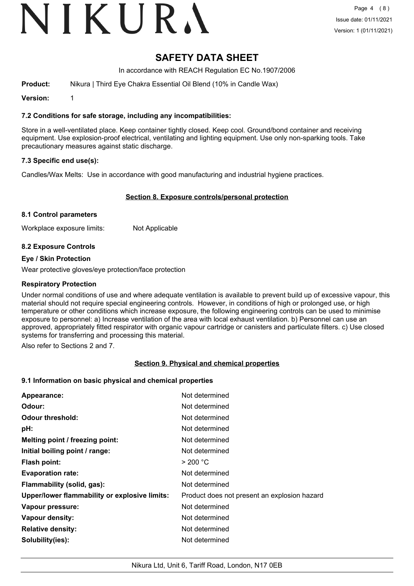# **SAFETY DATA SHEET**

In accordance with REACH Regulation EC No.1907/2006

**Product:** Nikura | Third Eye Chakra Essential Oil Blend (10% in Candle Wax)

**Version:** 1

**7.2 Conditions for safe storage, including any incompatibilities:**

Store in a well-ventilated place. Keep container tightly closed. Keep cool. Ground/bond container and receiving equipment. Use explosion-proof electrical, ventilating and lighting equipment. Use only non-sparking tools. Take precautionary measures against static discharge.

#### **7.3 Specific end use(s):**

Candles/Wax Melts: Use in accordance with good manufacturing and industrial hygiene practices.

#### **Section 8. Exposure controls/personal protection**

#### **8.1 Control parameters**

Workplace exposure limits: Not Applicable

#### **8.2 Exposure Controls**

#### **Eye / Skin Protection**

Wear protective gloves/eye protection/face protection

#### **Respiratory Protection**

Under normal conditions of use and where adequate ventilation is available to prevent build up of excessive vapour, this material should not require special engineering controls. However, in conditions of high or prolonged use, or high temperature or other conditions which increase exposure, the following engineering controls can be used to minimise exposure to personnel: a) Increase ventilation of the area with local exhaust ventilation. b) Personnel can use an approved, appropriately fitted respirator with organic vapour cartridge or canisters and particulate filters. c) Use closed systems for transferring and processing this material.

Also refer to Sections 2 and 7.

#### **Section 9. Physical and chemical properties**

#### **9.1 Information on basic physical and chemical properties**

| Appearance:                                   | Not determined                               |
|-----------------------------------------------|----------------------------------------------|
| Odour:                                        | Not determined                               |
| <b>Odour threshold:</b>                       | Not determined                               |
| pH:                                           | Not determined                               |
| Melting point / freezing point:               | Not determined                               |
| Initial boiling point / range:                | Not determined                               |
| <b>Flash point:</b>                           | > 200 °C                                     |
| <b>Evaporation rate:</b>                      | Not determined                               |
| Flammability (solid, gas):                    | Not determined                               |
| Upper/lower flammability or explosive limits: | Product does not present an explosion hazard |
| Vapour pressure:                              | Not determined                               |
| Vapour density:                               | Not determined                               |
| <b>Relative density:</b>                      | Not determined                               |
| Solubility(ies):                              | Not determined                               |
|                                               |                                              |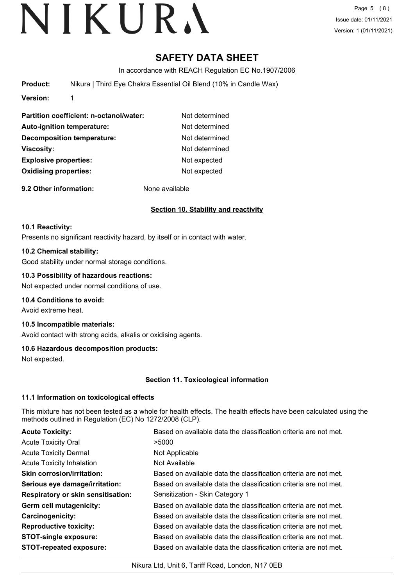Page 5 (8) Issue date: 01/11/2021 Version: 1 (01/11/2021)

# **SAFETY DATA SHEET**

In accordance with REACH Regulation EC No.1907/2006

**Product:** Nikura | Third Eye Chakra Essential Oil Blend (10% in Candle Wax)

**Version:** 1

| Partition coefficient: n-octanol/water: | Not determined |
|-----------------------------------------|----------------|
| <b>Auto-ignition temperature:</b>       | Not determined |
| <b>Decomposition temperature:</b>       | Not determined |
| Viscosity:                              | Not determined |
| <b>Explosive properties:</b>            | Not expected   |
| <b>Oxidising properties:</b>            | Not expected   |
|                                         |                |

**9.2 Other information:** None available

# **Section 10. Stability and reactivity**

#### **10.1 Reactivity:**

Presents no significant reactivity hazard, by itself or in contact with water.

#### **10.2 Chemical stability:**

Good stability under normal storage conditions.

#### **10.3 Possibility of hazardous reactions:**

Not expected under normal conditions of use.

#### **10.4 Conditions to avoid:**

Avoid extreme heat.

# **10.5 Incompatible materials:**

Avoid contact with strong acids, alkalis or oxidising agents.

# **10.6 Hazardous decomposition products:**

Not expected.

# **Section 11. Toxicological information**

# **11.1 Information on toxicological effects**

This mixture has not been tested as a whole for health effects. The health effects have been calculated using the methods outlined in Regulation (EC) No 1272/2008 (CLP).

| <b>Acute Toxicity:</b>                    | Based on available data the classification criteria are not met. |
|-------------------------------------------|------------------------------------------------------------------|
| <b>Acute Toxicity Oral</b>                | >5000                                                            |
| <b>Acute Toxicity Dermal</b>              | Not Applicable                                                   |
| <b>Acute Toxicity Inhalation</b>          | Not Available                                                    |
| <b>Skin corrosion/irritation:</b>         | Based on available data the classification criteria are not met. |
| Serious eye damage/irritation:            | Based on available data the classification criteria are not met. |
| <b>Respiratory or skin sensitisation:</b> | Sensitization - Skin Category 1                                  |
| Germ cell mutagenicity:                   | Based on available data the classification criteria are not met. |
| Carcinogenicity:                          | Based on available data the classification criteria are not met. |
| <b>Reproductive toxicity:</b>             | Based on available data the classification criteria are not met. |
| <b>STOT-single exposure:</b>              | Based on available data the classification criteria are not met. |
| <b>STOT-repeated exposure:</b>            | Based on available data the classification criteria are not met. |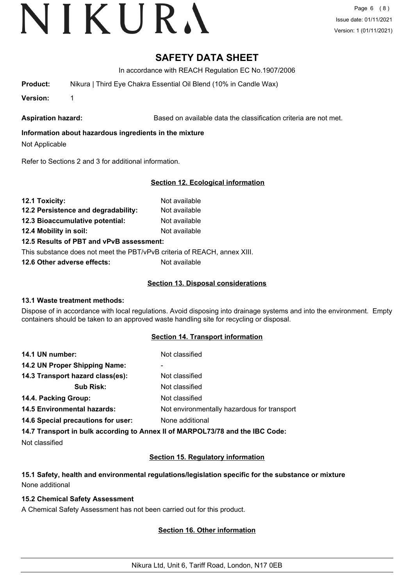Page 6 (8) Issue date: 01/11/2021 Version: 1 (01/11/2021)

# **SAFETY DATA SHEET**

In accordance with REACH Regulation EC No.1907/2006

**Product:** Nikura | Third Eye Chakra Essential Oil Blend (10% in Candle Wax)

**Version:** 1

Aspiration hazard: **Based on available data the classification criteria are not met.** 

# **Information about hazardous ingredients in the mixture**

Not Applicable

Refer to Sections 2 and 3 for additional information.

# **Section 12. Ecological information**

| 12.1 Toxicity:                      | Not available |
|-------------------------------------|---------------|
| 12.2 Persistence and degradability: | Not available |

**12.3 Bioaccumulative potential:** Not available

**12.4 Mobility in soil:** Not available

**12.5 Results of PBT and vPvB assessment:**

This substance does not meet the PBT/vPvB criteria of REACH, annex XIII.

**12.6 Other adverse effects:** Not available

# **Section 13. Disposal considerations**

# **13.1 Waste treatment methods:**

Dispose of in accordance with local regulations. Avoid disposing into drainage systems and into the environment. Empty containers should be taken to an approved waste handling site for recycling or disposal.

# **Section 14. Transport information**

| 14.1 UN number:                    | Not classified                              |
|------------------------------------|---------------------------------------------|
| 14.2 UN Proper Shipping Name:      |                                             |
| 14.3 Transport hazard class(es):   | Not classified                              |
| <b>Sub Risk:</b>                   | Not classified                              |
| 14.4. Packing Group:               | Not classified                              |
| <b>14.5 Environmental hazards:</b> | Not environmentally hazardous for transport |
| 14.6 Special precautions for user: | None additional                             |
|                                    |                                             |

**14.7 Transport in bulk according to Annex II of MARPOL73/78 and the IBC Code:**

Not classified

# **Section 15. Regulatory information**

# **15.1 Safety, health and environmental regulations/legislation specific for the substance or mixture** None additional

# **15.2 Chemical Safety Assessment**

A Chemical Safety Assessment has not been carried out for this product.

# **Section 16. Other information**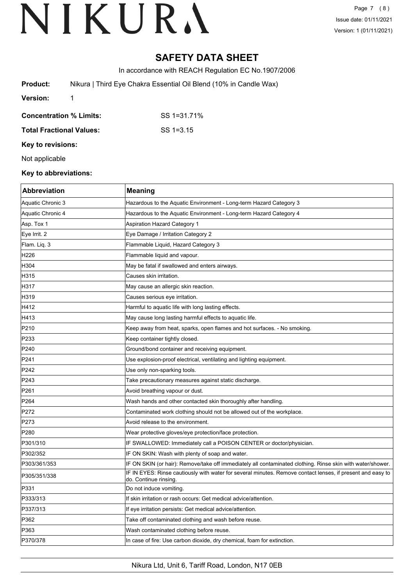Page 7 (8) Issue date: 01/11/2021 Version: 1 (01/11/2021)

# **SAFETY DATA SHEET**

In accordance with REACH Regulation EC No.1907/2006

| Product:                | Nikura   Third Eye Chakra Essential Oil Blend (10% in Candle Wax) |
|-------------------------|-------------------------------------------------------------------|
| Version:                |                                                                   |
| Concentration % Limits: | SS 1=31.71%                                                       |

**Total Fractional Values:** SS 1=3.15

**Key to revisions:**

Not applicable

### **Key to abbreviations:**

| <b>Abbreviation</b> | <b>Meaning</b>                                                                                                                     |
|---------------------|------------------------------------------------------------------------------------------------------------------------------------|
| Aquatic Chronic 3   | Hazardous to the Aquatic Environment - Long-term Hazard Category 3                                                                 |
| Aquatic Chronic 4   | Hazardous to the Aquatic Environment - Long-term Hazard Category 4                                                                 |
| Asp. Tox 1          | <b>Aspiration Hazard Category 1</b>                                                                                                |
| Eye Irrit. 2        | Eye Damage / Irritation Category 2                                                                                                 |
| Flam. Liq. 3        | Flammable Liquid, Hazard Category 3                                                                                                |
| H226                | Flammable liquid and vapour.                                                                                                       |
| H304                | May be fatal if swallowed and enters airways.                                                                                      |
| H315                | Causes skin irritation.                                                                                                            |
| H317                | May cause an allergic skin reaction.                                                                                               |
| H319                | Causes serious eye irritation.                                                                                                     |
| H412                | Harmful to aquatic life with long lasting effects.                                                                                 |
| H413                | May cause long lasting harmful effects to aquatic life.                                                                            |
| P210                | Keep away from heat, sparks, open flames and hot surfaces. - No smoking.                                                           |
| P233                | Keep container tightly closed.                                                                                                     |
| P240                | Ground/bond container and receiving equipment.                                                                                     |
| P241                | Use explosion-proof electrical, ventilating and lighting equipment.                                                                |
| P242                | Use only non-sparking tools.                                                                                                       |
| P243                | Take precautionary measures against static discharge.                                                                              |
| P261                | Avoid breathing vapour or dust.                                                                                                    |
| P <sub>264</sub>    | Wash hands and other contacted skin thoroughly after handling.                                                                     |
| P272                | Contaminated work clothing should not be allowed out of the workplace.                                                             |
| P273                | Avoid release to the environment.                                                                                                  |
| P <sub>280</sub>    | Wear protective gloves/eye protection/face protection.                                                                             |
| P301/310            | IF SWALLOWED: Immediately call a POISON CENTER or doctor/physician.                                                                |
| P302/352            | IF ON SKIN: Wash with plenty of soap and water.                                                                                    |
| P303/361/353        | IF ON SKIN (or hair): Remove/take off immediately all contaminated clothing. Rinse skin with water/shower.                         |
| P305/351/338        | IF IN EYES: Rinse cautiously with water for several minutes. Remove contact lenses, if present and easy to<br>do. Continue rinsing |
| P331                | Do not induce vomiting.                                                                                                            |
| P333/313            | If skin irritation or rash occurs: Get medical advice/attention.                                                                   |
| P337/313            | If eye irritation persists: Get medical advice/attention.                                                                          |
| P362                | Take off contaminated clothing and wash before reuse.                                                                              |
| P363                | Wash contaminated clothing before reuse.                                                                                           |
| P370/378            | In case of fire: Use carbon dioxide, dry chemical, foam for extinction.                                                            |